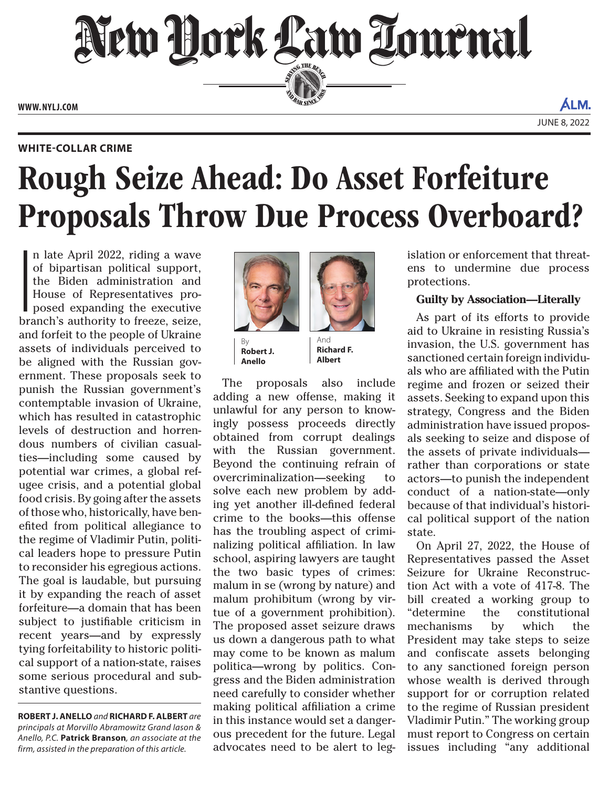New Hork Law Tournal SERVICE THE BENCH

**ED BAR SINCE 188** 

**WWW. NYLJ.COM**

ALM. JUNE 8, 2022

#### **WHITE-COLLAR CRIME**

# Rough Seize Ahead: Do Asset Forfeiture Proposals Throw Due Process Overboard?

|<br>|<br>|<br>|<br>| n late April 2022, riding a wave of bipartisan political support, the Biden administration and House of Representatives proposed expanding the executive branch's authority to freeze, seize, and forfeit to the people of Ukraine assets of individuals perceived to be aligned with the Russian government. These proposals seek to punish the Russian government's contemptable invasion of Ukraine, which has resulted in catastrophic levels of destruction and horrendous numbers of civilian casualties—including some caused by potential war crimes, a global refugee crisis, and a potential global food crisis. By going after the assets of those who, historically, have benefited from political allegiance to the regime of Vladimir Putin, political leaders hope to pressure Putin to reconsider his egregious actions. The goal is laudable, but pursuing it by expanding the reach of asset forfeiture—a domain that has been subject to justifiable criticism in recent years—and by expressly tying forfeitability to historic political support of a nation-state, raises some serious procedural and substantive questions.

**ROBERT J. ANELLO** *and* **RICHARD F. ALBERT** *are principals at Morvillo Abramowitz Grand Iason & Anello, P.C.* **Patrick Branson***, an associate at the firm, assisted in the preparation of this article.*



**Robert J. Anello**

And **Richard F. Albert**

The proposals also include adding a new offense, making it unlawful for any person to knowingly possess proceeds directly obtained from corrupt dealings with the Russian government. Beyond the continuing refrain of overcriminalization—seeking to solve each new problem by adding yet another ill-defined federal crime to the books—this offense has the troubling aspect of criminalizing political affiliation. In law school, aspiring lawyers are taught the two basic types of crimes: malum in se (wrong by nature) and malum prohibitum (wrong by virtue of a government prohibition). The proposed asset seizure draws us down a dangerous path to what may come to be known as malum politica—wrong by politics. Congress and the Biden administration need carefully to consider whether making political affiliation a crime in this instance would set a dangerous precedent for the future. Legal advocates need to be alert to legislation or enforcement that threatens to undermine due process protections.

# **Guilty by Association—Literally**

As part of its efforts to provide aid to Ukraine in resisting Russia's invasion, the U.S. government has sanctioned certain foreign individuals who are affiliated with the Putin regime and frozen or seized their assets. Seeking to expand upon this strategy, Congress and the Biden administration have issued proposals seeking to seize and dispose of the assets of private individuals rather than corporations or state actors—to punish the independent conduct of a nation-state—only because of that individual's historical political support of the nation state.

On April 27, 2022, the House of Representatives passed the [Asset](https://www.congress.gov/bill/117th-congress/house-bill/6930) [Seizure for Ukraine Reconstruc](https://www.congress.gov/bill/117th-congress/house-bill/6930)[tion Act](https://www.congress.gov/bill/117th-congress/house-bill/6930)  with a vote of 417-8. The bill created a working group to "determine the constitutional mechanisms by which the President may take steps to seize and confiscate assets belonging to any sanctioned foreign person whose wealth is derived through support for or corruption related to the regime of Russian president Vladimir Putin." The working group must report to Congress on certain issues including "any additional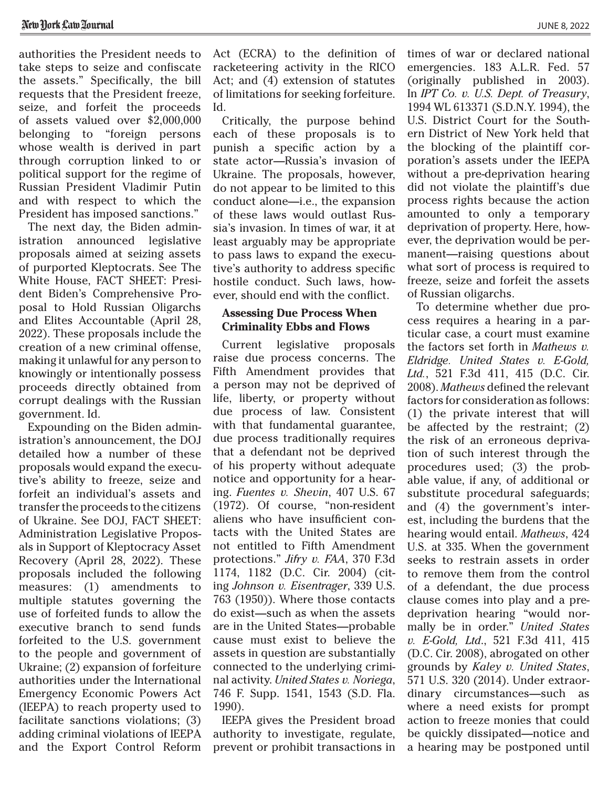authorities the President needs to take steps to seize and confiscate the assets." Specifically, the bill requests that the President freeze, seize, and forfeit the proceeds of assets valued over \$2,000,000 belonging to "foreign persons whose wealth is derived in part through corruption linked to or political support for the regime of Russian President Vladimir Putin and with respect to which the President has imposed sanctions."

The next day, the Biden administration announced legislative proposals aimed at seizing assets of purported Kleptocrats. See The White House, [FACT SHEET: Presi](https://www.whitehouse.gov/briefing-room/statements-releases/2022/04/28/fact-sheet-president-bidens-comprehensive-proposal-to-hold-russian-oligarchs-accountable/)[dent Biden's Comprehensive Pro](https://www.whitehouse.gov/briefing-room/statements-releases/2022/04/28/fact-sheet-president-bidens-comprehensive-proposal-to-hold-russian-oligarchs-accountable/)[posal to Hold Russian Oligarchs](https://www.whitehouse.gov/briefing-room/statements-releases/2022/04/28/fact-sheet-president-bidens-comprehensive-proposal-to-hold-russian-oligarchs-accountable/) [and Elites Accountable](https://www.whitehouse.gov/briefing-room/statements-releases/2022/04/28/fact-sheet-president-bidens-comprehensive-proposal-to-hold-russian-oligarchs-accountable/) (April 28, 2022). These proposals include the creation of a new criminal offense, making it unlawful for any person to knowingly or intentionally possess proceeds directly obtained from corrupt dealings with the Russian government. Id.

Expounding on the Biden administration's announcement, the DOJ detailed how a number of these proposals would expand the executive's ability to freeze, seize and forfeit an individual's assets and transfer the proceeds to the citizens of Ukraine. See DOJ, [FACT SHEET:](https://www.justice.gov/opa/pr/fact-sheet-administration-legislative-proposals-support-kleptocracy-asset-recovery) [Administration Legislative Propos](https://www.justice.gov/opa/pr/fact-sheet-administration-legislative-proposals-support-kleptocracy-asset-recovery)[als in Support of Kleptocracy Asset](https://www.justice.gov/opa/pr/fact-sheet-administration-legislative-proposals-support-kleptocracy-asset-recovery) [Recovery](https://www.justice.gov/opa/pr/fact-sheet-administration-legislative-proposals-support-kleptocracy-asset-recovery)  (April 28, 2022). These proposals included the following measures: (1) amendments to multiple statutes governing the use of forfeited funds to allow the executive branch to send funds forfeited to the U.S. government to the people and government of Ukraine; (2) expansion of forfeiture authorities under the International Emergency Economic Powers Act (IEEPA) to reach property used to facilitate sanctions violations; (3) adding criminal violations of IEEPA and the Export Control Reform

Act (ECRA) to the definition of racketeering activity in the RICO Act; and (4) extension of statutes of limitations for seeking forfeiture. Id.

Critically, the purpose behind each of these proposals is to punish a specific action by a state actor—Russia's invasion of Ukraine. The proposals, however, do not appear to be limited to this conduct alone—i.e., the expansion of these laws would outlast Russia's invasion. In times of war, it at least arguably may be appropriate to pass laws to expand the executive's authority to address specific hostile conduct. Such laws, however, should end with the conflict.

### **Assessing Due Process When Criminality Ebbs and Flows**

Current legislative proposals raise due process concerns. The Fifth Amendment provides that a person may not be deprived of life, liberty, or property without due process of law. Consistent with that fundamental guarantee, due process traditionally requires that a defendant not be deprived of his property without adequate notice and opportunity for a hearing. *Fuentes v. Shevin*, 407 U.S. 67 (1972). Of course, "non-resident aliens who have insufficient contacts with the United States are not entitled to Fifth Amendment protections." *Jifry v. FAA*, 370 F.3d 1174, 1182 (D.C. Cir. 2004) (citing *Johnson v. Eisentrager*, 339 U.S. 763 (1950)). Where those contacts do exist—such as when the assets are in the United States—probable cause must exist to believe the assets in question are substantially connected to the underlying criminal activity. *United States v. Noriega*, 746 F. Supp. 1541, 1543 (S.D. Fla. 1990).

IEEPA gives the President broad authority to investigate, regulate, prevent or prohibit transactions in times of war or declared national emergencies. 183 A.L.R. Fed. 57 (originally published in 2003). In *IPT Co. v. U.S. Dept. of Treasury*, 1994 WL 613371 (S.D.N.Y. 1994), the U.S. District Court for the Southern District of New York held that the blocking of the plaintiff corporation's assets under the IEEPA without a pre-deprivation hearing did not violate the plaintiff's due process rights because the action amounted to only a temporary deprivation of property. Here, however, the deprivation would be permanent—raising questions about what sort of process is required to freeze, seize and forfeit the assets of Russian oligarchs.

To determine whether due process requires a hearing in a particular case, a court must examine the factors set forth in *Mathews v. Eldridge. United States v. E-Gold, Ltd.*, 521 F.3d 411, 415 (D.C. Cir. 2008). *Mathews* defined the relevant factors for consideration as follows: (1) the private interest that will be affected by the restraint; (2) the risk of an erroneous deprivation of such interest through the procedures used; (3) the probable value, if any, of additional or substitute procedural safeguards; and (4) the government's interest, including the burdens that the hearing would entail. *Mathews*, 424 U.S. at 335. When the government seeks to restrain assets in order to remove them from the control of a defendant, the due process clause comes into play and a predeprivation hearing "would normally be in order." *United States v. E-Gold, Ltd*., 521 F.3d 411, 415 (D.C. Cir. 2008), abrogated on other grounds by *Kaley v. United States*, 571 U.S. 320 (2014). Under extraordinary circumstances—such as where a need exists for prompt action to freeze monies that could be quickly dissipated—notice and a hearing may be postponed until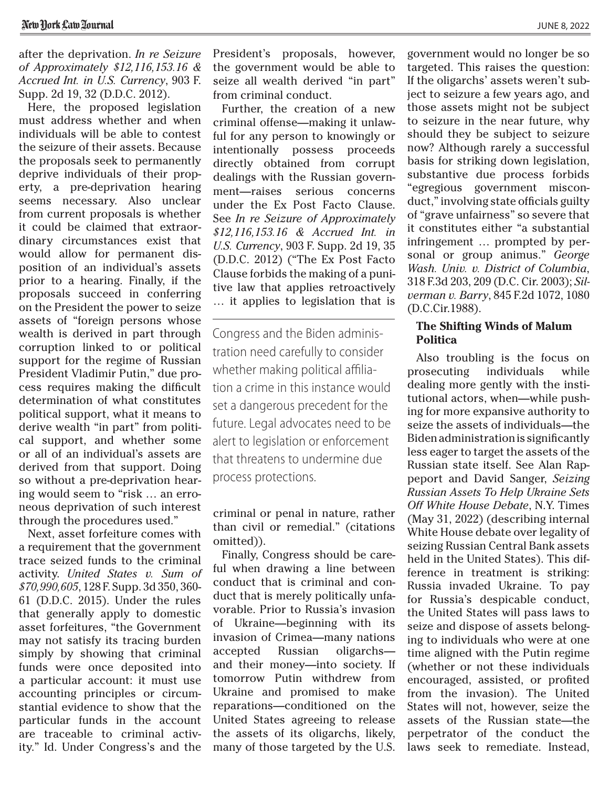after the deprivation. *In re Seizure of Approximately \$12,116,153.16 & Accrued Int. in U.S. Currency*, 903 F. Supp. 2d 19, 32 (D.D.C. 2012).

Here, the proposed legislation must address whether and when individuals will be able to contest the seizure of their assets. Because the proposals seek to permanently deprive individuals of their property, a pre-deprivation hearing seems necessary. Also unclear from current proposals is whether it could be claimed that extraordinary circumstances exist that would allow for permanent disposition of an individual's assets prior to a hearing. Finally, if the proposals succeed in conferring on the President the power to seize assets of "foreign persons whose wealth is derived in part through corruption linked to or political support for the regime of Russian President Vladimir Putin," due process requires making the difficult determination of what constitutes political support, what it means to derive wealth "in part" from political support, and whether some or all of an individual's assets are derived from that support. Doing so without a pre-deprivation hearing would seem to "risk … an erroneous deprivation of such interest through the procedures used."

Next, asset forfeiture comes with a requirement that the government trace seized funds to the criminal activity. *United States v. Sum of \$70,990,605*, 128 F. Supp. 3d 350, 360- 61 (D.D.C. 2015). Under the rules that generally apply to domestic asset forfeitures, "the Government may not satisfy its tracing burden simply by showing that criminal funds were once deposited into a particular account: it must use accounting principles or circumstantial evidence to show that the particular funds in the account are traceable to criminal activity." Id. Under Congress's and the

President's proposals, however, the government would be able to seize all wealth derived "in part" from criminal conduct.

Further, the creation of a new criminal offense—making it unlawful for any person to knowingly or intentionally possess proceeds directly obtained from corrupt dealings with the Russian government—raises serious concerns under the Ex Post Facto Clause. See *In re Seizure of Approximately \$12,116,153.16 & Accrued Int. in U.S. Currency*, 903 F. Supp. 2d 19, 35 (D.D.C. 2012) ("The Ex Post Facto Clause forbids the making of a punitive law that applies retroactively … it applies to legislation that is

Congress and the Biden administration need carefully to consider whether making political affiliation a crime in this instance would set a dangerous precedent for the future. Legal advocates need to be alert to legislation or enforcement that threatens to undermine due process protections.

criminal or penal in nature, rather than civil or remedial." (citations omitted)).

Finally, Congress should be careful when drawing a line between conduct that is criminal and conduct that is merely politically unfavorable. Prior to Russia's invasion of Ukraine—beginning with its invasion of Crimea—many nations accepted Russian oligarchs and their money—into society. If tomorrow Putin withdrew from Ukraine and promised to make reparations—conditioned on the United States agreeing to release the assets of its oligarchs, likely, many of those targeted by the U.S.

government would no longer be so targeted. This raises the question: If the oligarchs' assets weren't subject to seizure a few years ago, and those assets might not be subject to seizure in the near future, why should they be subject to seizure now? Although rarely a successful basis for striking down legislation, substantive due process forbids "egregious government misconduct," involving state officials guilty of "grave unfairness" so severe that it constitutes either "a substantial infringement … prompted by personal or group animus." *George Wash. Univ. v. District of Columbia*, 318 F.3d 203, 209 (D.C. Cir. 2003); *Silverman v. Barry*, 845 F.2d 1072, 1080 (D.C.Cir.1988).

# **The Shifting Winds of Malum Politica**

Also troubling is the focus on prosecuting individuals while dealing more gently with the institutional actors, when—while pushing for more expansive authority to seize the assets of individuals—the Biden administration is significantly less eager to target the assets of the Russian state itself. See Alan Rappeport and David Sanger, *Seizing Russian Assets To Help Ukraine Sets Off White House Debate*, N.Y. Times (May 31, 2022) (describing internal White House debate over legality of seizing Russian Central Bank assets held in the United States). This difference in treatment is striking: Russia invaded Ukraine. To pay for Russia's despicable conduct, the United States will pass laws to seize and dispose of assets belonging to individuals who were at one time aligned with the Putin regime (whether or not these individuals encouraged, assisted, or profited from the invasion). The United States will not, however, seize the assets of the Russian state—the perpetrator of the conduct the laws seek to remediate. Instead,